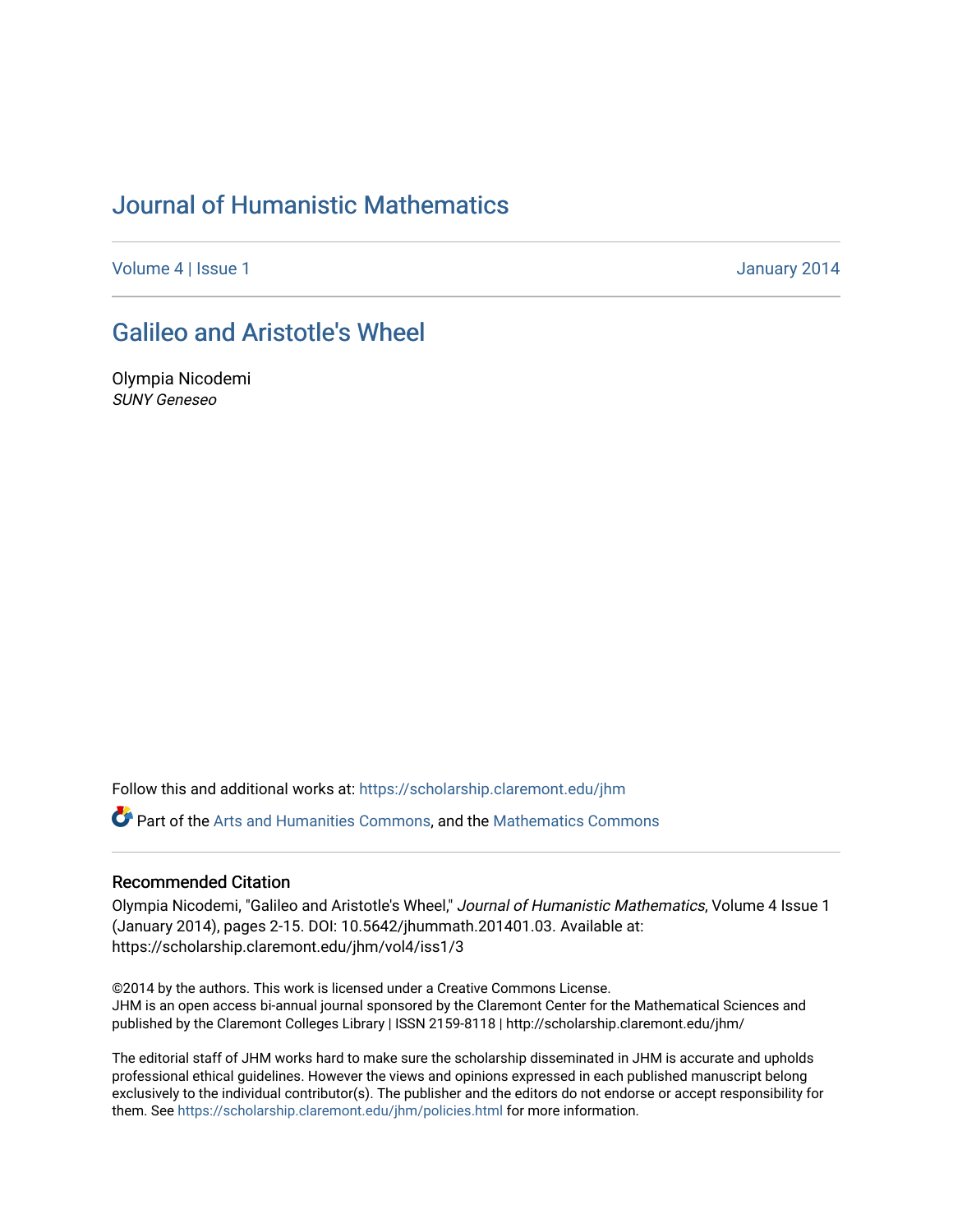# [Journal of Humanistic Mathematics](https://scholarship.claremont.edu/jhm)

[Volume 4](https://scholarship.claremont.edu/jhm/vol4) | [Issue 1](https://scholarship.claremont.edu/jhm/vol4/iss1) January 2014

## [Galileo and Aristotle's Wheel](https://scholarship.claremont.edu/jhm/vol4/iss1/3)

Olympia Nicodemi SUNY Geneseo

Follow this and additional works at: [https://scholarship.claremont.edu/jhm](https://scholarship.claremont.edu/jhm?utm_source=scholarship.claremont.edu%2Fjhm%2Fvol4%2Fiss1%2F3&utm_medium=PDF&utm_campaign=PDFCoverPages)

Part of the [Arts and Humanities Commons,](http://network.bepress.com/hgg/discipline/438?utm_source=scholarship.claremont.edu%2Fjhm%2Fvol4%2Fiss1%2F3&utm_medium=PDF&utm_campaign=PDFCoverPages) and the [Mathematics Commons](http://network.bepress.com/hgg/discipline/174?utm_source=scholarship.claremont.edu%2Fjhm%2Fvol4%2Fiss1%2F3&utm_medium=PDF&utm_campaign=PDFCoverPages) 

### Recommended Citation

Olympia Nicodemi, "Galileo and Aristotle's Wheel," Journal of Humanistic Mathematics, Volume 4 Issue 1 (January 2014), pages 2-15. DOI: 10.5642/jhummath.201401.03. Available at: https://scholarship.claremont.edu/jhm/vol4/iss1/3

©2014 by the authors. This work is licensed under a Creative Commons License. JHM is an open access bi-annual journal sponsored by the Claremont Center for the Mathematical Sciences and published by the Claremont Colleges Library | ISSN 2159-8118 | http://scholarship.claremont.edu/jhm/

The editorial staff of JHM works hard to make sure the scholarship disseminated in JHM is accurate and upholds professional ethical guidelines. However the views and opinions expressed in each published manuscript belong exclusively to the individual contributor(s). The publisher and the editors do not endorse or accept responsibility for them. See<https://scholarship.claremont.edu/jhm/policies.html> for more information.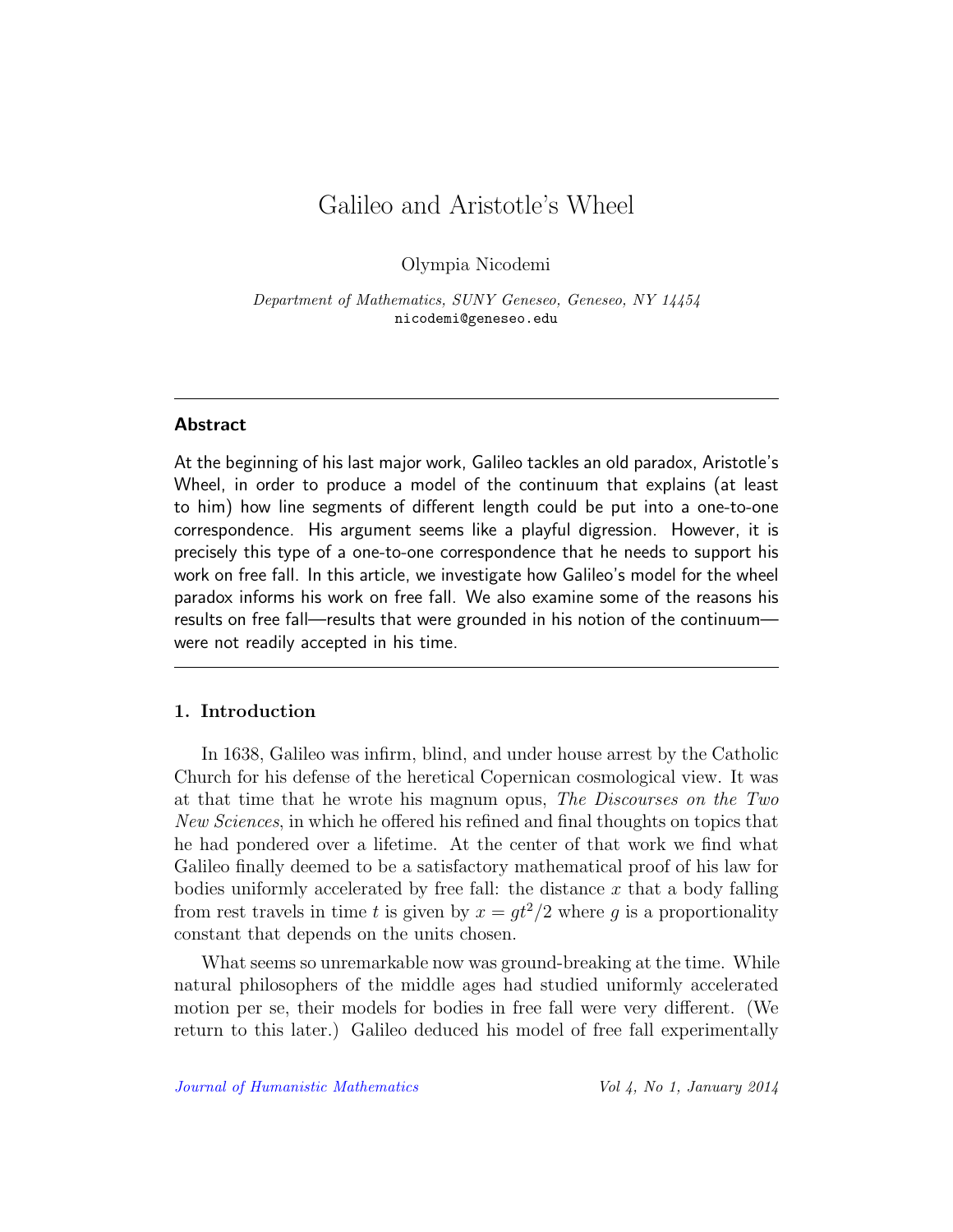## Galileo and Aristotle's Wheel

Olympia Nicodemi

Department of Mathematics, SUNY Geneseo, Geneseo, NY 14454 nicodemi@geneseo.edu

## Abstract

At the beginning of his last major work, Galileo tackles an old paradox, Aristotle's Wheel, in order to produce a model of the continuum that explains (at least to him) how line segments of different length could be put into a one-to-one correspondence. His argument seems like a playful digression. However, it is precisely this type of a one-to-one correspondence that he needs to support his work on free fall. In this article, we investigate how Galileo's model for the wheel paradox informs his work on free fall. We also examine some of the reasons his results on free fall—results that were grounded in his notion of the continuum were not readily accepted in his time.

#### 1. Introduction

In 1638, Galileo was infirm, blind, and under house arrest by the Catholic Church for his defense of the heretical Copernican cosmological view. It was at that time that he wrote his magnum opus, The Discourses on the Two New Sciences, in which he offered his refined and final thoughts on topics that he had pondered over a lifetime. At the center of that work we find what Galileo finally deemed to be a satisfactory mathematical proof of his law for bodies uniformly accelerated by free fall: the distance  $x$  that a body falling from rest travels in time t is given by  $x = gt^2/2$  where g is a proportionality constant that depends on the units chosen.

What seems so unremarkable now was ground-breaking at the time. While natural philosophers of the middle ages had studied uniformly accelerated motion per se, their models for bodies in free fall were very different. (We return to this later.) Galileo deduced his model of free fall experimentally

[Journal of Humanistic Mathematics](http://scholarship.claremont.edu/jhm/) Vol 4, No 1, January 2014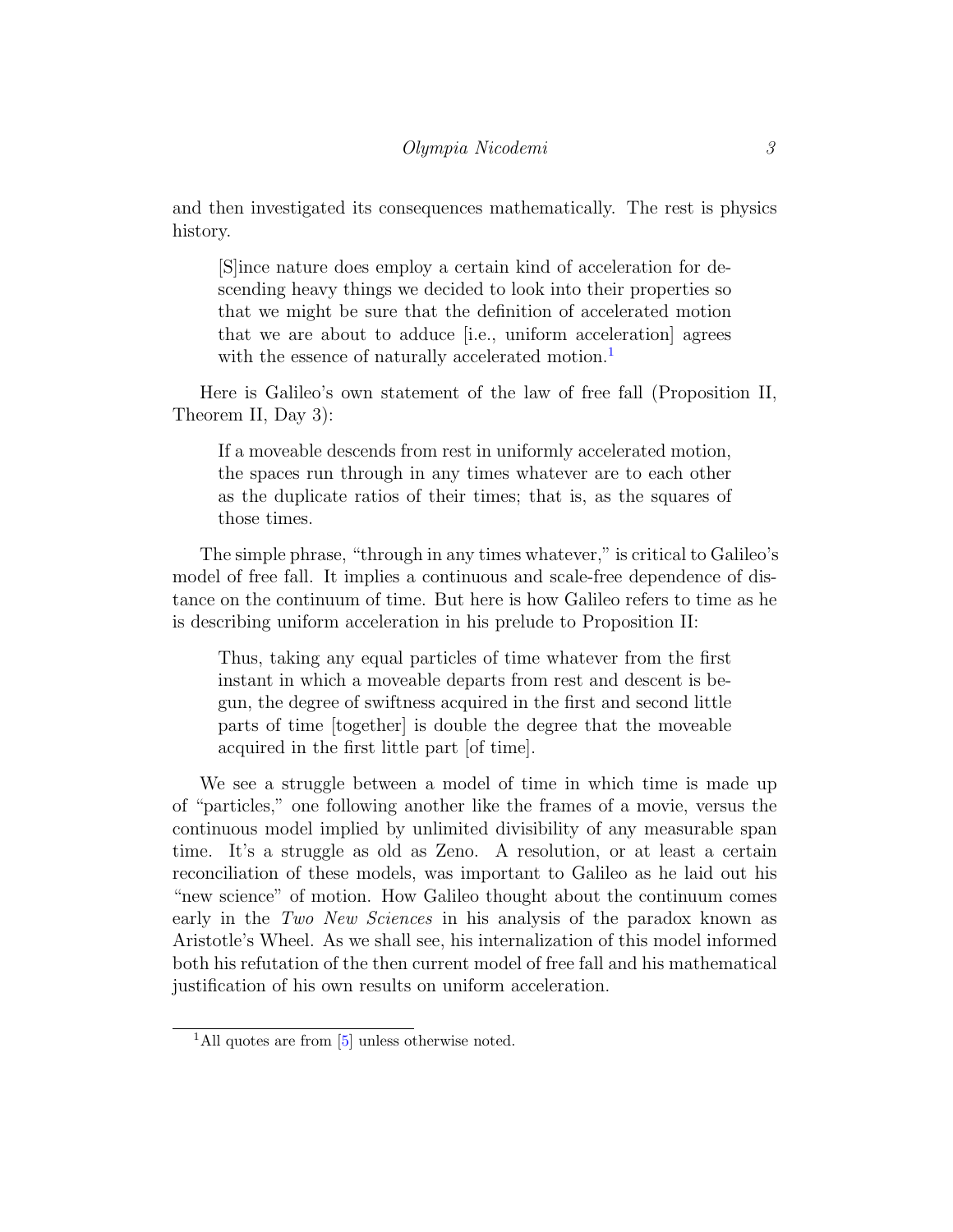and then investigated its consequences mathematically. The rest is physics history.

[S]ince nature does employ a certain kind of acceleration for descending heavy things we decided to look into their properties so that we might be sure that the definition of accelerated motion that we are about to adduce [i.e., uniform acceleration] agrees with the essence of naturally accelerated motion.<sup>[1](#page-2-0)</sup>

Here is Galileo's own statement of the law of free fall (Proposition II, Theorem II, Day 3):

If a moveable descends from rest in uniformly accelerated motion, the spaces run through in any times whatever are to each other as the duplicate ratios of their times; that is, as the squares of those times.

The simple phrase, "through in any times whatever," is critical to Galileo's model of free fall. It implies a continuous and scale-free dependence of distance on the continuum of time. But here is how Galileo refers to time as he is describing uniform acceleration in his prelude to Proposition II:

Thus, taking any equal particles of time whatever from the first instant in which a moveable departs from rest and descent is begun, the degree of swiftness acquired in the first and second little parts of time [together] is double the degree that the moveable acquired in the first little part [of time].

We see a struggle between a model of time in which time is made up of "particles," one following another like the frames of a movie, versus the continuous model implied by unlimited divisibility of any measurable span time. It's a struggle as old as Zeno. A resolution, or at least a certain reconciliation of these models, was important to Galileo as he laid out his "new science" of motion. How Galileo thought about the continuum comes early in the Two New Sciences in his analysis of the paradox known as Aristotle's Wheel. As we shall see, his internalization of this model informed both his refutation of the then current model of free fall and his mathematical justification of his own results on uniform acceleration.

<span id="page-2-0"></span><sup>&</sup>lt;sup>1</sup>All quotes are from [\[5\]](#page-14-0) unless otherwise noted.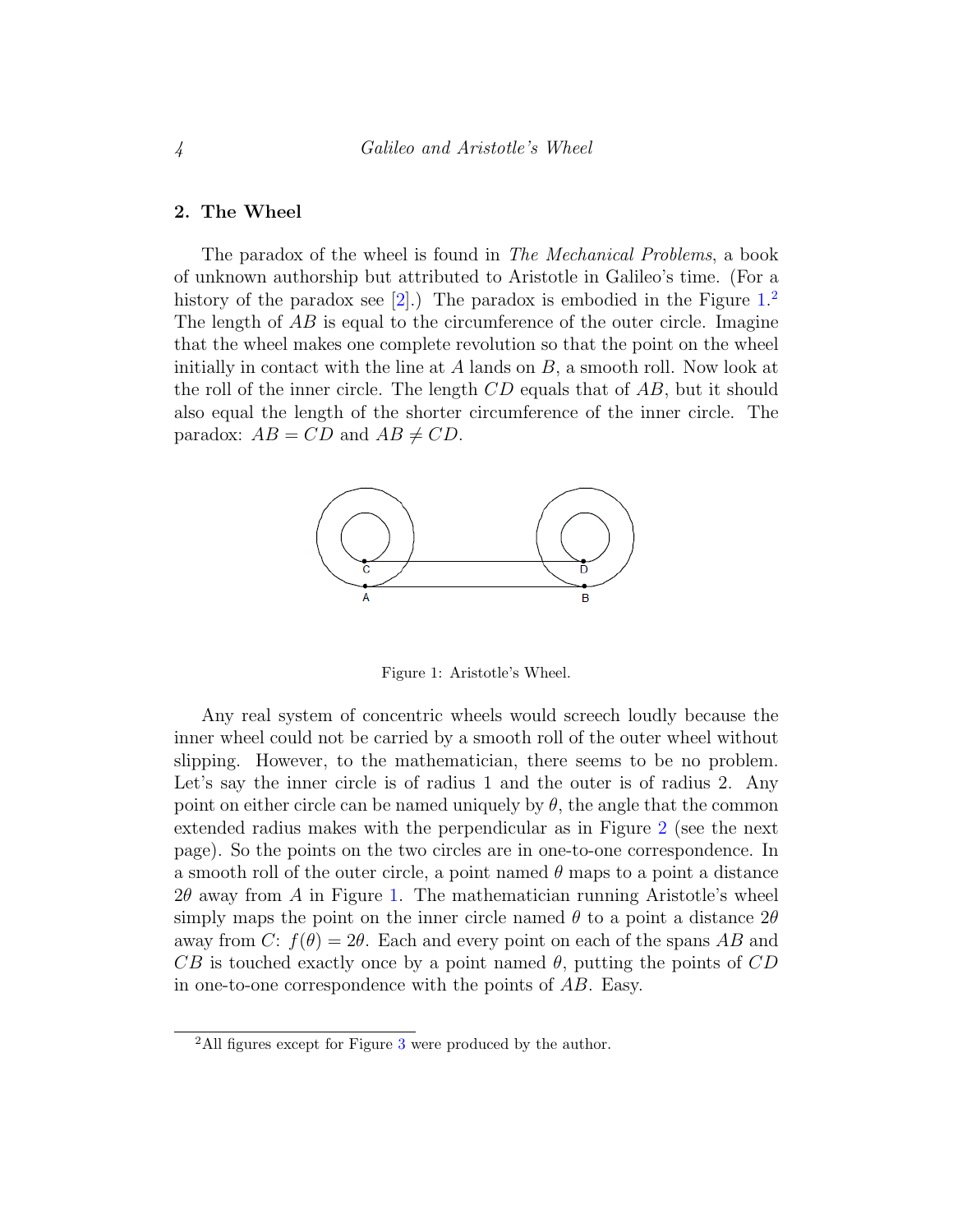#### 2. The Wheel

The paradox of the wheel is found in The Mechanical Problems, a book of unknown authorship but attributed to Aristotle in Galileo's time. (For a history of the paradox see  $[2]$ .) The paradox is embodied in the Figure  $1<sup>2</sup>$  $1<sup>2</sup>$  $1<sup>2</sup>$ . The length of AB is equal to the circumference of the outer circle. Imagine that the wheel makes one complete revolution so that the point on the wheel initially in contact with the line at  $A$  lands on  $B$ , a smooth roll. Now look at the roll of the inner circle. The length  $CD$  equals that of  $AB$ , but it should also equal the length of the shorter circumference of the inner circle. The paradox:  $AB = CD$  and  $AB \neq CD$ .



<span id="page-3-0"></span>Figure 1: Aristotle's Wheel.

Any real system of concentric wheels would screech loudly because the inner wheel could not be carried by a smooth roll of the outer wheel without slipping. However, to the mathematician, there seems to be no problem. Let's say the inner circle is of radius 1 and the outer is of radius 2. Any point on either circle can be named uniquely by  $\theta$ , the angle that the common extended radius makes with the perpendicular as in Figure [2](#page-4-0) (see the next page). So the points on the two circles are in one-to-one correspondence. In a smooth roll of the outer circle, a point named  $\theta$  maps to a point a distance  $2\theta$  away from A in Figure [1.](#page-3-0) The mathematician running Aristotle's wheel simply maps the point on the inner circle named  $\theta$  to a point a distance  $2\theta$ away from C:  $f(\theta) = 2\theta$ . Each and every point on each of the spans AB and  $CB$  is touched exactly once by a point named  $\theta$ , putting the points of  $CD$ in one-to-one correspondence with the points of AB. Easy.

<span id="page-3-1"></span><sup>&</sup>lt;sup>2</sup>All figures except for Figure [3](#page-4-1) were produced by the author.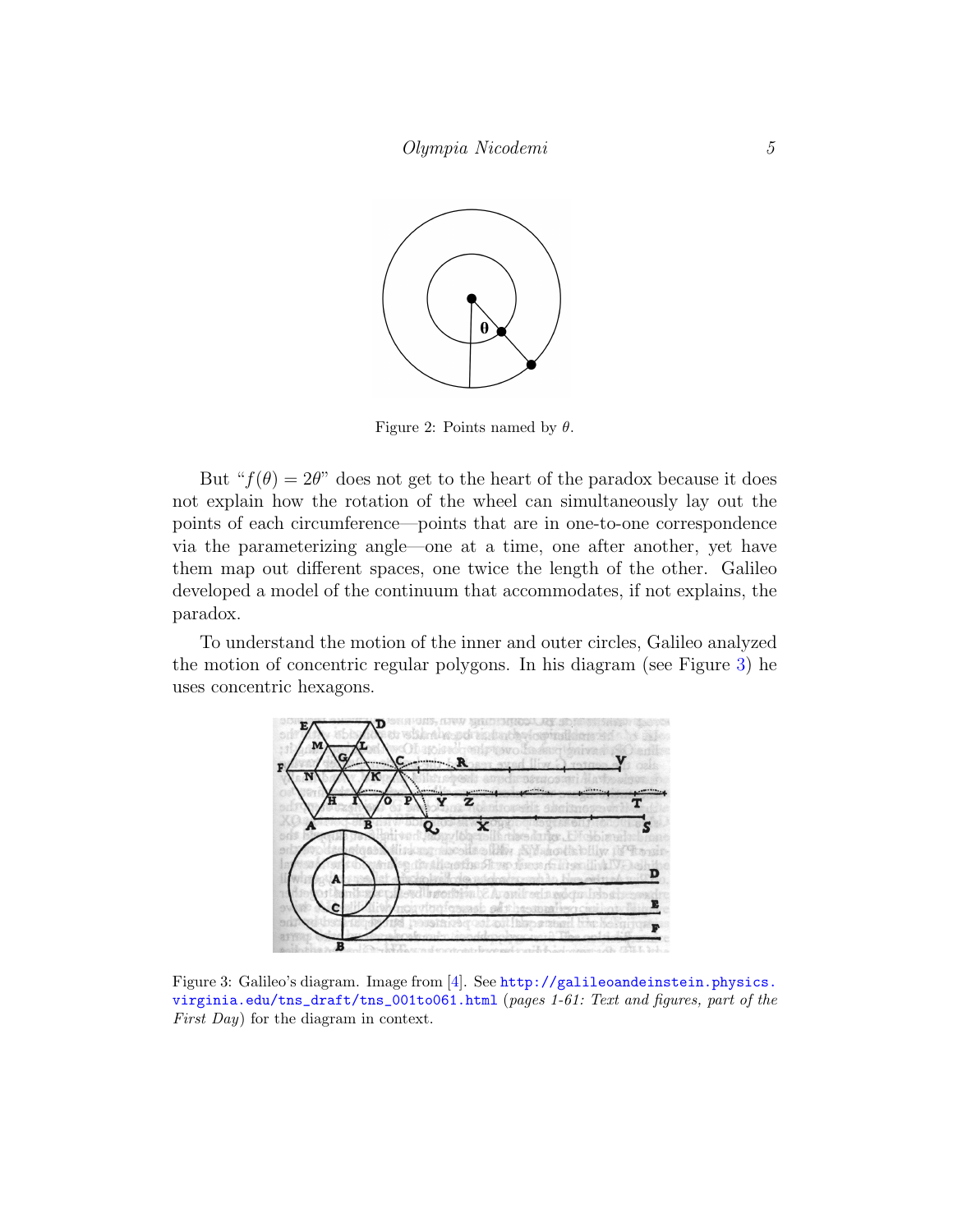

<span id="page-4-0"></span>Figure 2: Points named by  $\theta$ .

But " $f(\theta) = 2\theta$ " does not get to the heart of the paradox because it does not explain how the rotation of the wheel can simultaneously lay out the points of each circumference—points that are in one-to-one correspondence via the parameterizing angle—one at a time, one after another, yet have them map out different spaces, one twice the length of the other. Galileo developed a model of the continuum that accommodates, if not explains, the paradox.

To understand the motion of the inner and outer circles, Galileo analyzed the motion of concentric regular polygons. In his diagram (see Figure [3\)](#page-4-1) he uses concentric hexagons.

<span id="page-4-1"></span>

Figure 3: Galileo's diagram. Image from [\[4\]](#page-14-2). See [http://galileoandeinstein.physics.](http://galileoandeinstein.physics.virginia.edu/tns_draft/tns_001to061.html) [virginia.edu/tns\\_draft/tns\\_001to061.html](http://galileoandeinstein.physics.virginia.edu/tns_draft/tns_001to061.html) (pages 1-61: Text and figures, part of the First Day) for the diagram in context.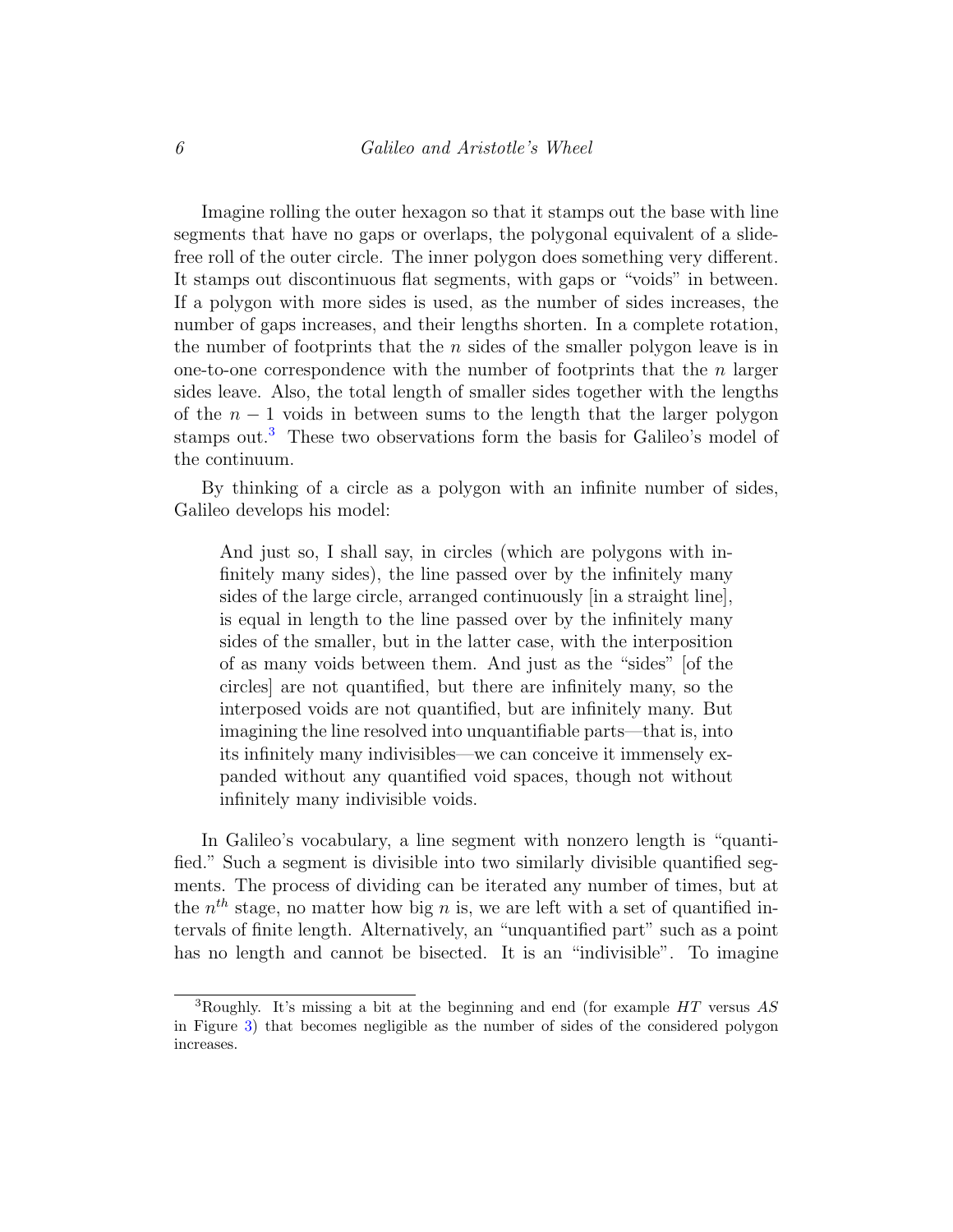Imagine rolling the outer hexagon so that it stamps out the base with line segments that have no gaps or overlaps, the polygonal equivalent of a slidefree roll of the outer circle. The inner polygon does something very different. It stamps out discontinuous flat segments, with gaps or "voids" in between. If a polygon with more sides is used, as the number of sides increases, the number of gaps increases, and their lengths shorten. In a complete rotation, the number of footprints that the  $n$  sides of the smaller polygon leave is in one-to-one correspondence with the number of footprints that the  $n$  larger sides leave. Also, the total length of smaller sides together with the lengths of the  $n-1$  voids in between sums to the length that the larger polygon stamps out.<sup>[3](#page-5-0)</sup> These two observations form the basis for Galileo's model of the continuum.

By thinking of a circle as a polygon with an infinite number of sides, Galileo develops his model:

And just so, I shall say, in circles (which are polygons with infinitely many sides), the line passed over by the infinitely many sides of the large circle, arranged continuously [in a straight line], is equal in length to the line passed over by the infinitely many sides of the smaller, but in the latter case, with the interposition of as many voids between them. And just as the "sides" [of the circles] are not quantified, but there are infinitely many, so the interposed voids are not quantified, but are infinitely many. But imagining the line resolved into unquantifiable parts—that is, into its infinitely many indivisibles—we can conceive it immensely expanded without any quantified void spaces, though not without infinitely many indivisible voids.

In Galileo's vocabulary, a line segment with nonzero length is "quantified." Such a segment is divisible into two similarly divisible quantified segments. The process of dividing can be iterated any number of times, but at the  $n<sup>th</sup>$  stage, no matter how big n is, we are left with a set of quantified intervals of finite length. Alternatively, an "unquantified part" such as a point has no length and cannot be bisected. It is an "indivisible". To imagine

<span id="page-5-0"></span><sup>&</sup>lt;sup>3</sup>Roughly. It's missing a bit at the beginning and end (for example  $HT$  versus AS in Figure [3\)](#page-4-1) that becomes negligible as the number of sides of the considered polygon increases.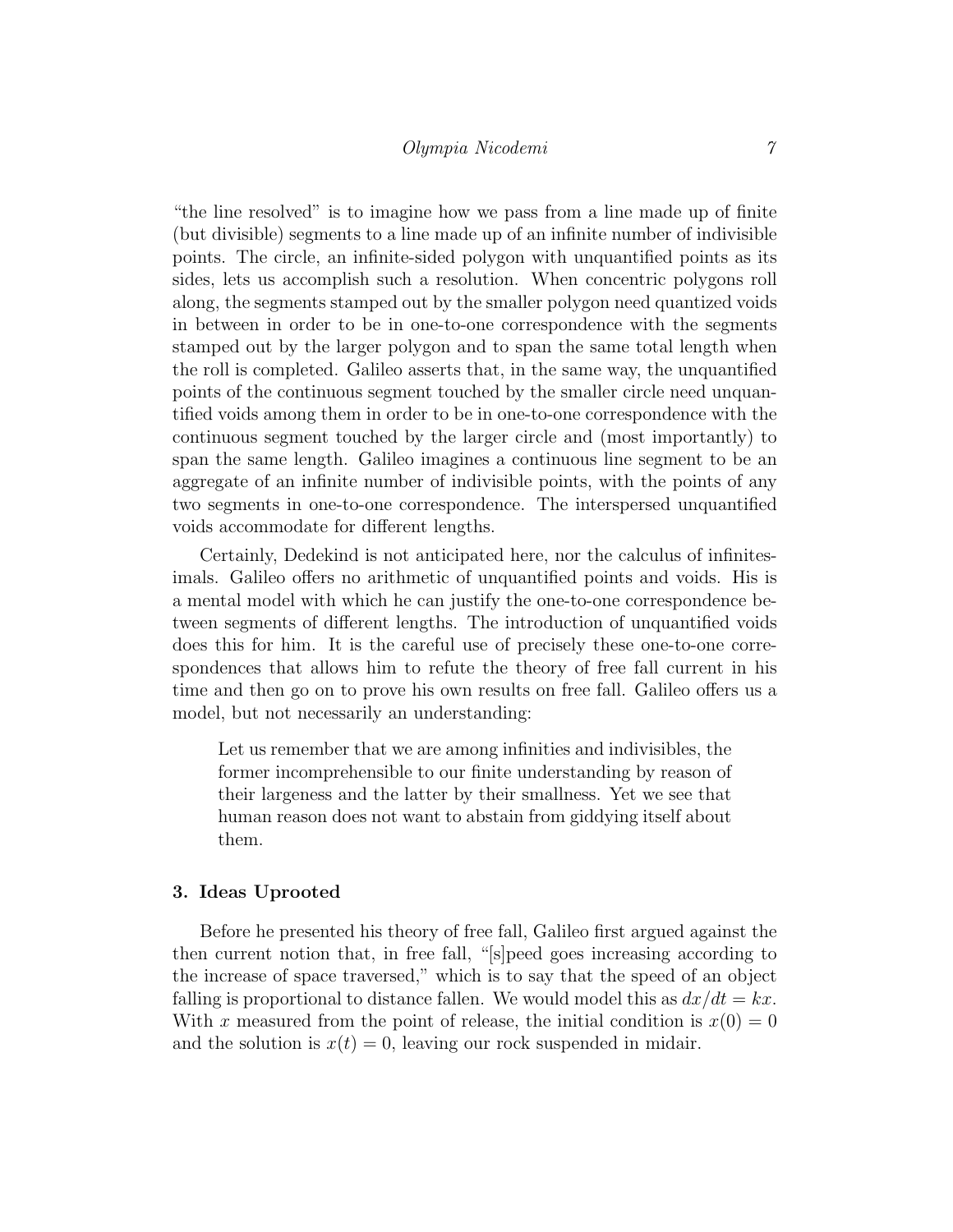"the line resolved" is to imagine how we pass from a line made up of finite (but divisible) segments to a line made up of an infinite number of indivisible points. The circle, an infinite-sided polygon with unquantified points as its sides, lets us accomplish such a resolution. When concentric polygons roll along, the segments stamped out by the smaller polygon need quantized voids in between in order to be in one-to-one correspondence with the segments stamped out by the larger polygon and to span the same total length when the roll is completed. Galileo asserts that, in the same way, the unquantified points of the continuous segment touched by the smaller circle need unquantified voids among them in order to be in one-to-one correspondence with the continuous segment touched by the larger circle and (most importantly) to span the same length. Galileo imagines a continuous line segment to be an aggregate of an infinite number of indivisible points, with the points of any two segments in one-to-one correspondence. The interspersed unquantified voids accommodate for different lengths.

Certainly, Dedekind is not anticipated here, nor the calculus of infinitesimals. Galileo offers no arithmetic of unquantified points and voids. His is a mental model with which he can justify the one-to-one correspondence between segments of different lengths. The introduction of unquantified voids does this for him. It is the careful use of precisely these one-to-one correspondences that allows him to refute the theory of free fall current in his time and then go on to prove his own results on free fall. Galileo offers us a model, but not necessarily an understanding:

Let us remember that we are among infinities and indivisibles, the former incomprehensible to our finite understanding by reason of their largeness and the latter by their smallness. Yet we see that human reason does not want to abstain from giddying itself about them.

#### 3. Ideas Uprooted

Before he presented his theory of free fall, Galileo first argued against the then current notion that, in free fall, "[s]peed goes increasing according to the increase of space traversed," which is to say that the speed of an object falling is proportional to distance fallen. We would model this as  $dx/dt = kx$ . With x measured from the point of release, the initial condition is  $x(0) = 0$ and the solution is  $x(t) = 0$ , leaving our rock suspended in midair.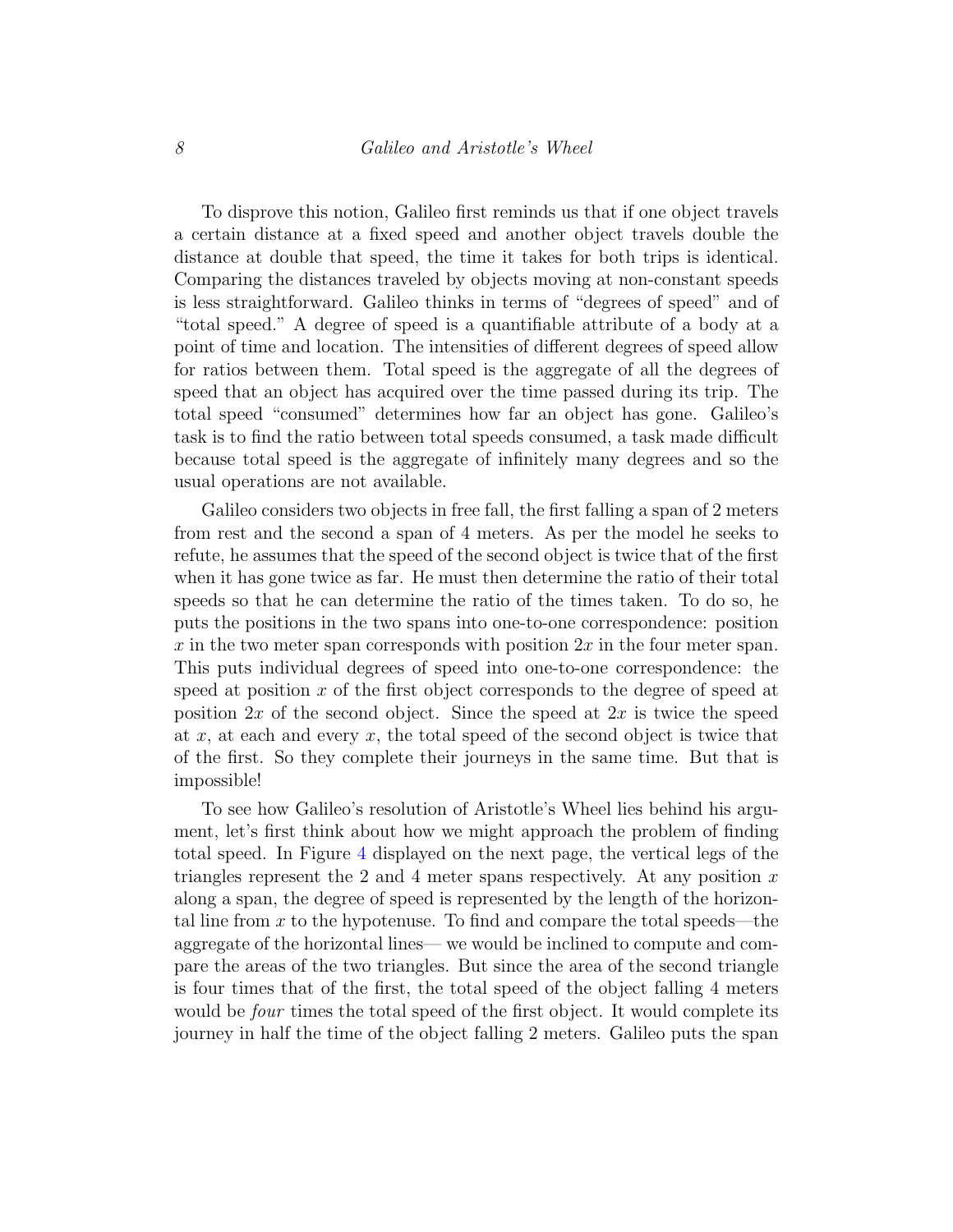To disprove this notion, Galileo first reminds us that if one object travels a certain distance at a fixed speed and another object travels double the distance at double that speed, the time it takes for both trips is identical. Comparing the distances traveled by objects moving at non-constant speeds is less straightforward. Galileo thinks in terms of "degrees of speed" and of "total speed." A degree of speed is a quantifiable attribute of a body at a point of time and location. The intensities of different degrees of speed allow for ratios between them. Total speed is the aggregate of all the degrees of speed that an object has acquired over the time passed during its trip. The total speed "consumed" determines how far an object has gone. Galileo's task is to find the ratio between total speeds consumed, a task made difficult because total speed is the aggregate of infinitely many degrees and so the usual operations are not available.

Galileo considers two objects in free fall, the first falling a span of 2 meters from rest and the second a span of 4 meters. As per the model he seeks to refute, he assumes that the speed of the second object is twice that of the first when it has gone twice as far. He must then determine the ratio of their total speeds so that he can determine the ratio of the times taken. To do so, he puts the positions in the two spans into one-to-one correspondence: position x in the two meter span corresponds with position  $2x$  in the four meter span. This puts individual degrees of speed into one-to-one correspondence: the speed at position x of the first object corresponds to the degree of speed at position  $2x$  of the second object. Since the speed at  $2x$  is twice the speed at  $x$ , at each and every  $x$ , the total speed of the second object is twice that of the first. So they complete their journeys in the same time. But that is impossible!

To see how Galileo's resolution of Aristotle's Wheel lies behind his argument, let's first think about how we might approach the problem of finding total speed. In Figure [4](#page-8-0) displayed on the next page, the vertical legs of the triangles represent the 2 and 4 meter spans respectively. At any position  $x$ along a span, the degree of speed is represented by the length of the horizontal line from x to the hypotenuse. To find and compare the total speeds—the aggregate of the horizontal lines— we would be inclined to compute and compare the areas of the two triangles. But since the area of the second triangle is four times that of the first, the total speed of the object falling 4 meters would be *four* times the total speed of the first object. It would complete its journey in half the time of the object falling 2 meters. Galileo puts the span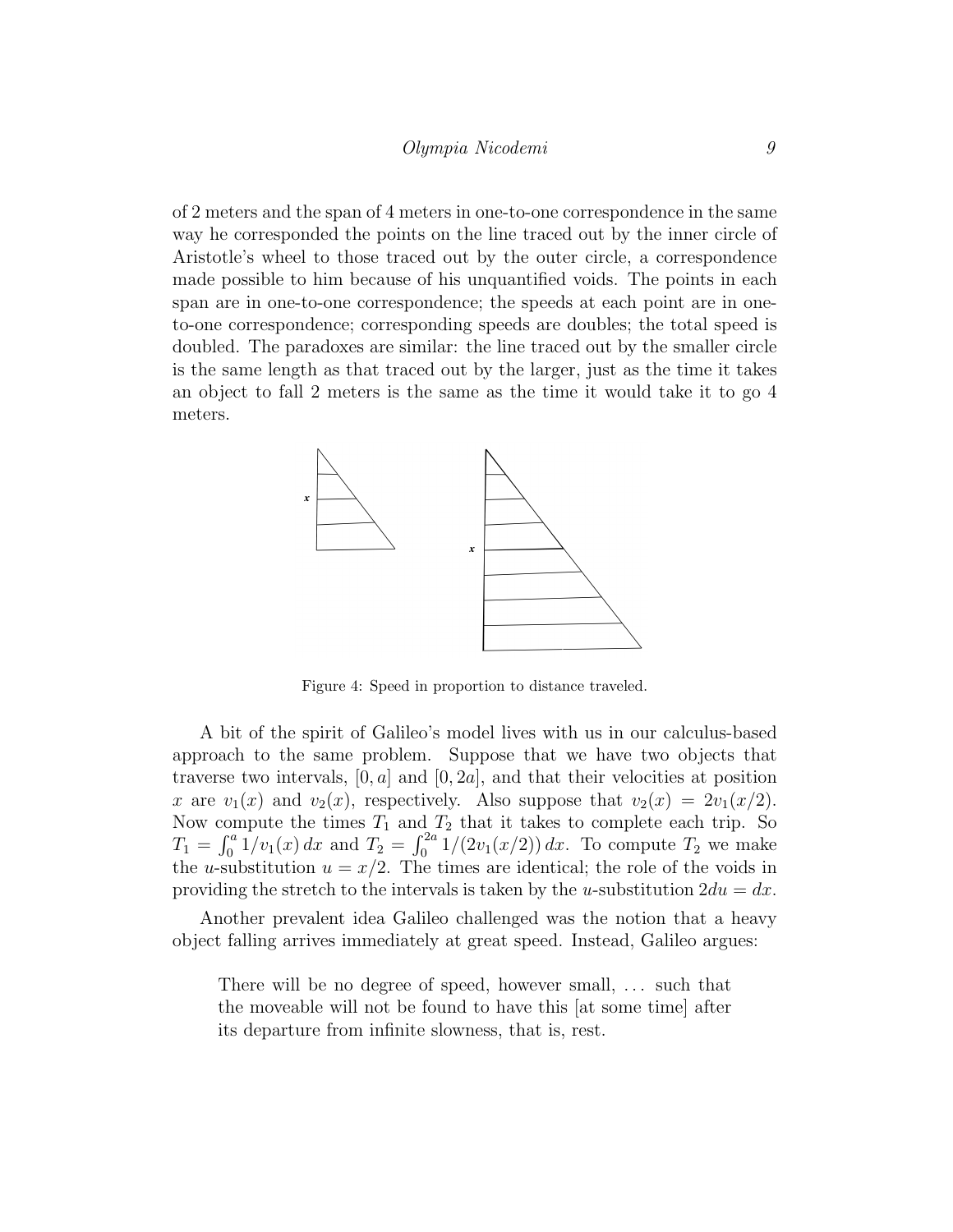of 2 meters and the span of 4 meters in one-to-one correspondence in the same way he corresponded the points on the line traced out by the inner circle of Aristotle's wheel to those traced out by the outer circle, a correspondence made possible to him because of his unquantified voids. The points in each span are in one-to-one correspondence; the speeds at each point are in oneto-one correspondence; corresponding speeds are doubles; the total speed is doubled. The paradoxes are similar: the line traced out by the smaller circle is the same length as that traced out by the larger, just as the time it takes an object to fall 2 meters is the same as the time it would take it to go 4 meters.



<span id="page-8-0"></span>Figure 4: Speed in proportion to distance traveled.

A bit of the spirit of Galileo's model lives with us in our calculus-based approach to the same problem. Suppose that we have two objects that traverse two intervals,  $[0, a]$  and  $[0, 2a]$ , and that their velocities at position x are  $v_1(x)$  and  $v_2(x)$ , respectively. Also suppose that  $v_2(x) = 2v_1(x/2)$ . Now compute the times  $T_1$  and  $T_2$  that it takes to complete each trip. So  $T_1 = \int_0^a 1/v_1(x) dx$  and  $T_2 = \int_0^{2a} 1/(2v_1(x/2)) dx$ . To compute  $T_2$  we make the u-substitution  $u = x/2$ . The times are identical; the role of the voids in providing the stretch to the intervals is taken by the u-substitution  $2du = dx$ .

Another prevalent idea Galileo challenged was the notion that a heavy object falling arrives immediately at great speed. Instead, Galileo argues:

There will be no degree of speed, however small, ... such that the moveable will not be found to have this [at some time] after its departure from infinite slowness, that is, rest.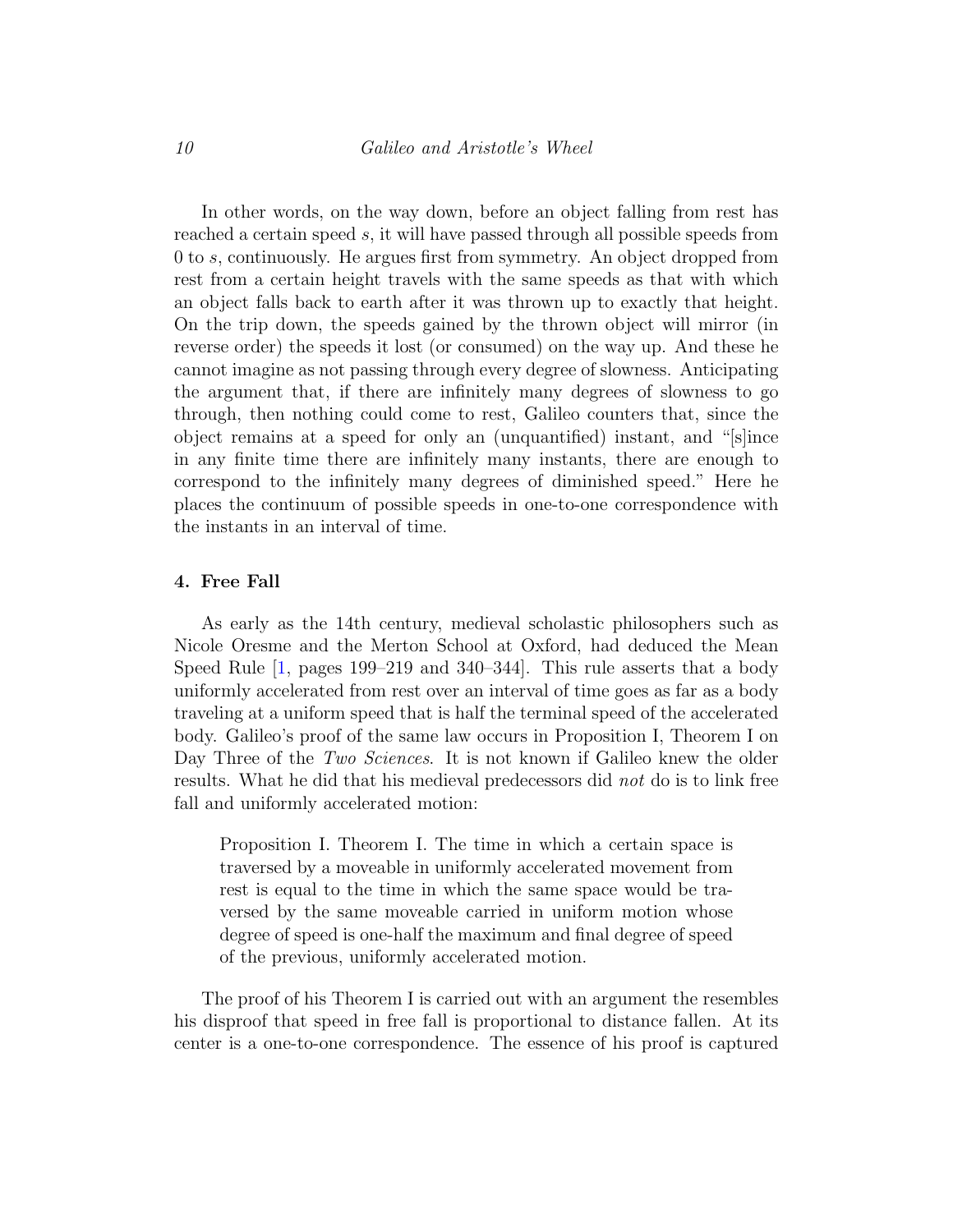In other words, on the way down, before an object falling from rest has reached a certain speed s, it will have passed through all possible speeds from 0 to s, continuously. He argues first from symmetry. An object dropped from rest from a certain height travels with the same speeds as that with which an object falls back to earth after it was thrown up to exactly that height. On the trip down, the speeds gained by the thrown object will mirror (in reverse order) the speeds it lost (or consumed) on the way up. And these he cannot imagine as not passing through every degree of slowness. Anticipating the argument that, if there are infinitely many degrees of slowness to go through, then nothing could come to rest, Galileo counters that, since the object remains at a speed for only an (unquantified) instant, and "[s]ince in any finite time there are infinitely many instants, there are enough to correspond to the infinitely many degrees of diminished speed." Here he places the continuum of possible speeds in one-to-one correspondence with the instants in an interval of time.

#### 4. Free Fall

As early as the 14th century, medieval scholastic philosophers such as Nicole Oresme and the Merton School at Oxford, had deduced the Mean Speed Rule [\[1,](#page-14-3) pages 199–219 and 340–344]. This rule asserts that a body uniformly accelerated from rest over an interval of time goes as far as a body traveling at a uniform speed that is half the terminal speed of the accelerated body. Galileo's proof of the same law occurs in Proposition I, Theorem I on Day Three of the Two Sciences. It is not known if Galileo knew the older results. What he did that his medieval predecessors did not do is to link free fall and uniformly accelerated motion:

Proposition I. Theorem I. The time in which a certain space is traversed by a moveable in uniformly accelerated movement from rest is equal to the time in which the same space would be traversed by the same moveable carried in uniform motion whose degree of speed is one-half the maximum and final degree of speed of the previous, uniformly accelerated motion.

The proof of his Theorem I is carried out with an argument the resembles his disproof that speed in free fall is proportional to distance fallen. At its center is a one-to-one correspondence. The essence of his proof is captured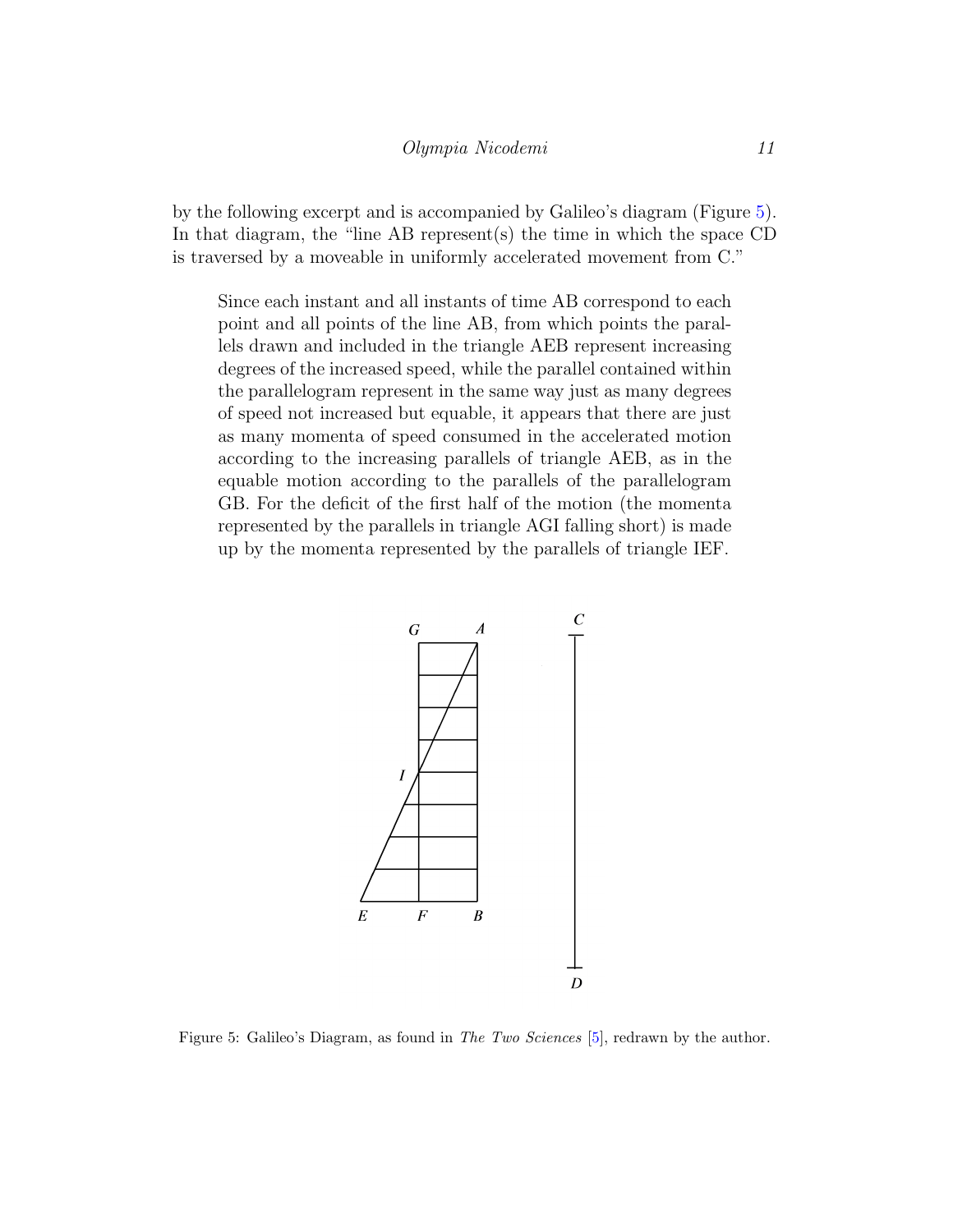by the following excerpt and is accompanied by Galileo's diagram (Figure [5\)](#page-10-0). In that diagram, the "line AB represent(s) the time in which the space  $CD$ is traversed by a moveable in uniformly accelerated movement from C."

Since each instant and all instants of time AB correspond to each point and all points of the line AB, from which points the parallels drawn and included in the triangle AEB represent increasing degrees of the increased speed, while the parallel contained within the parallelogram represent in the same way just as many degrees of speed not increased but equable, it appears that there are just as many momenta of speed consumed in the accelerated motion according to the increasing parallels of triangle AEB, as in the equable motion according to the parallels of the parallelogram GB. For the deficit of the first half of the motion (the momenta represented by the parallels in triangle AGI falling short) is made up by the momenta represented by the parallels of triangle IEF.



<span id="page-10-0"></span>Figure 5: Galileo's Diagram, as found in The Two Sciences [\[5\]](#page-14-0), redrawn by the author.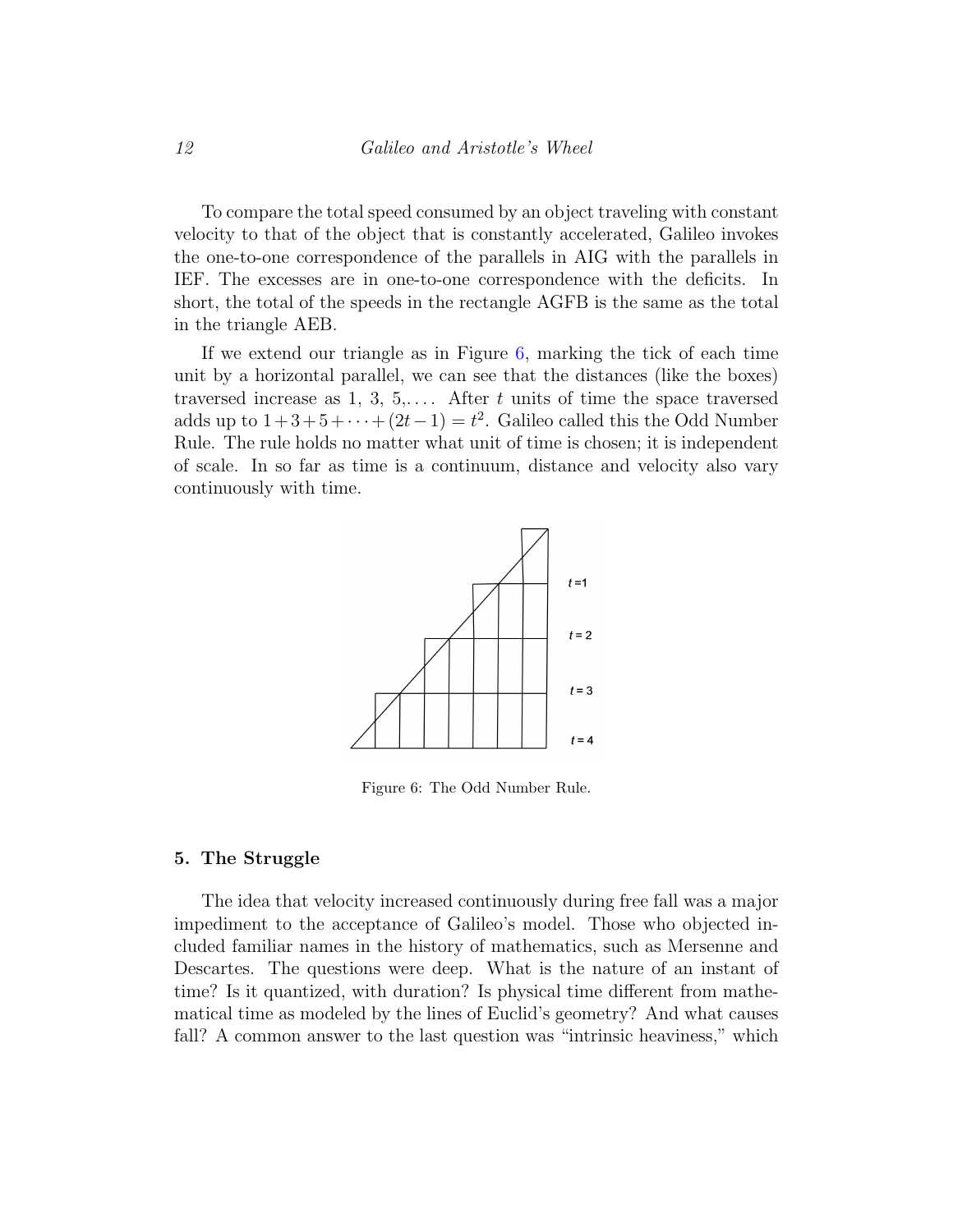To compare the total speed consumed by an object traveling with constant velocity to that of the object that is constantly accelerated, Galileo invokes the one-to-one correspondence of the parallels in AIG with the parallels in IEF. The excesses are in one-to-one correspondence with the deficits. In short, the total of the speeds in the rectangle AGFB is the same as the total in the triangle AEB.

If we extend our triangle as in Figure  $6$ , marking the tick of each time unit by a horizontal parallel, we can see that the distances (like the boxes) traversed increase as 1, 3, 5,.... After t units of time the space traversed adds up to  $1+3+5+\cdots+(2t-1)=t^2$ . Galileo called this the Odd Number Rule. The rule holds no matter what unit of time is chosen; it is independent of scale. In so far as time is a continuum, distance and velocity also vary continuously with time.



<span id="page-11-0"></span>Figure 6: The Odd Number Rule.

#### 5. The Struggle

The idea that velocity increased continuously during free fall was a major impediment to the acceptance of Galileo's model. Those who objected included familiar names in the history of mathematics, such as Mersenne and Descartes. The questions were deep. What is the nature of an instant of time? Is it quantized, with duration? Is physical time different from mathematical time as modeled by the lines of Euclid's geometry? And what causes fall? A common answer to the last question was "intrinsic heaviness," which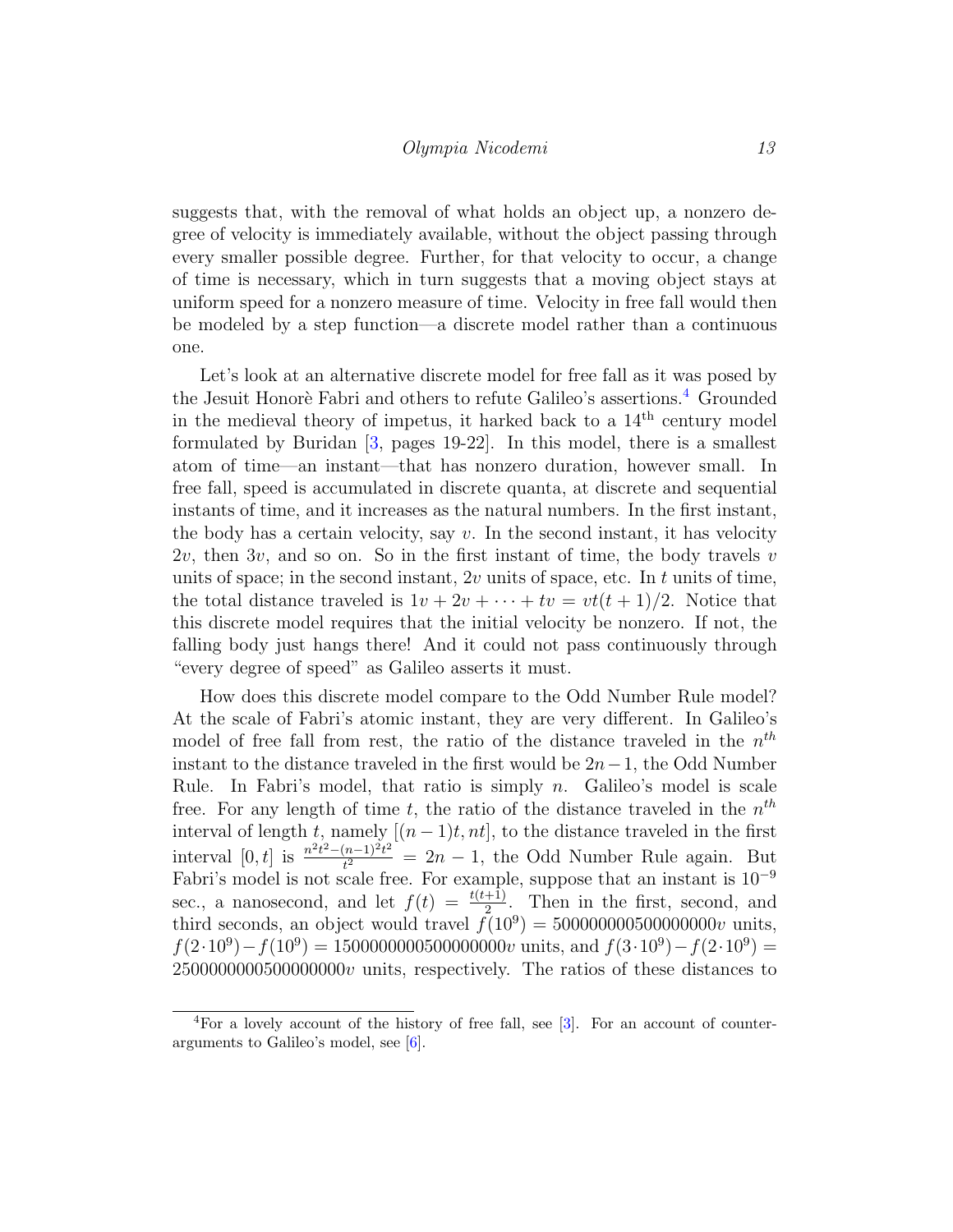suggests that, with the removal of what holds an object up, a nonzero degree of velocity is immediately available, without the object passing through every smaller possible degree. Further, for that velocity to occur, a change of time is necessary, which in turn suggests that a moving object stays at uniform speed for a nonzero measure of time. Velocity in free fall would then be modeled by a step function—a discrete model rather than a continuous one.

Let's look at an alternative discrete model for free fall as it was posed by the Jesuit Honorè Fabri and others to refute Galileo's assertions.<sup>[4](#page-12-0)</sup> Grounded in the medieval theory of impetus, it harked back to a  $14<sup>th</sup>$  century model formulated by Buridan [\[3,](#page-14-4) pages 19-22]. In this model, there is a smallest atom of time—an instant—that has nonzero duration, however small. In free fall, speed is accumulated in discrete quanta, at discrete and sequential instants of time, and it increases as the natural numbers. In the first instant, the body has a certain velocity, say  $v$ . In the second instant, it has velocity  $2v$ , then  $3v$ , and so on. So in the first instant of time, the body travels v units of space; in the second instant,  $2v$  units of space, etc. In t units of time, the total distance traveled is  $1v + 2v + \cdots + tv = vt(t + 1)/2$ . Notice that this discrete model requires that the initial velocity be nonzero. If not, the falling body just hangs there! And it could not pass continuously through "every degree of speed" as Galileo asserts it must.

How does this discrete model compare to the Odd Number Rule model? At the scale of Fabri's atomic instant, they are very different. In Galileo's model of free fall from rest, the ratio of the distance traveled in the  $n^{th}$ instant to the distance traveled in the first would be  $2n-1$ , the Odd Number Rule. In Fabri's model, that ratio is simply n. Galileo's model is scale free. For any length of time t, the ratio of the distance traveled in the  $n^{th}$ interval of length t, namely  $[(n-1)t, nt]$ , to the distance traveled in the first interval [0, t] is  $\frac{n^2t^2-(n-1)^2t^2}{t^2}$  $t^{\frac{n-1}{2}}$  = 2n – 1, the Odd Number Rule again. But Fabri's model is not scale free. For example, suppose that an instant is 10<sup>−</sup><sup>9</sup> sec., a nanosecond, and let  $f(t) = \frac{t(t+1)}{2}$ . Then in the first, second, and third seconds, an object would travel  $f(10^9) = 500000000500000000$  units,  $f(2 \cdot 10^9) - f(10^9) = 1500000000500000000$  units, and  $f(3 \cdot 10^9) - f(2 \cdot 10^9) =$  $2500000000500000000$  units, respectively. The ratios of these distances to

<span id="page-12-0"></span><sup>&</sup>lt;sup>4</sup>For a lovely account of the history of free fall, see [\[3\]](#page-14-4). For an account of counterarguments to Galileo's model, see [\[6\]](#page-14-5).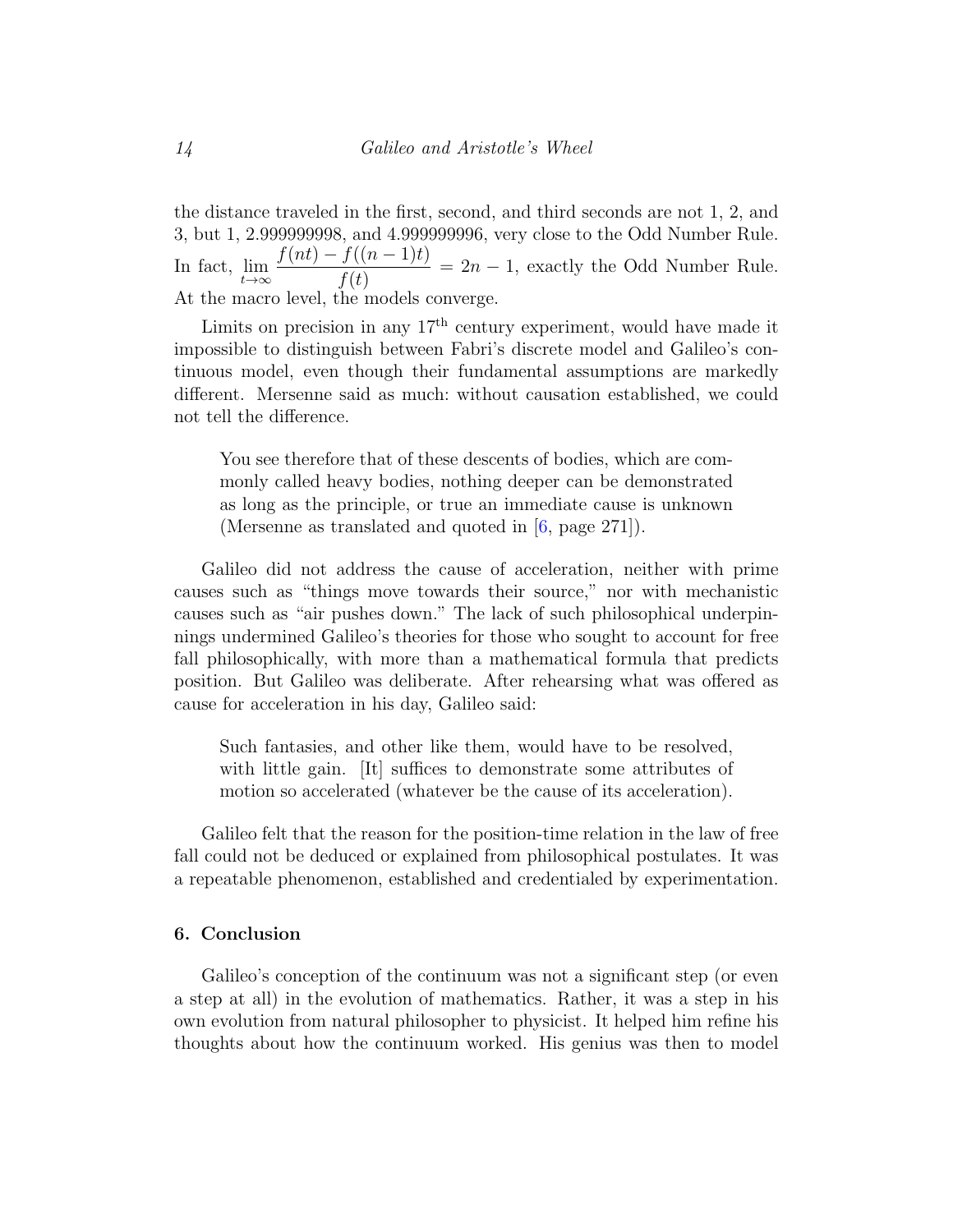the distance traveled in the first, second, and third seconds are not 1, 2, and 3, but 1, 2.999999998, and 4.999999996, very close to the Odd Number Rule. In fact,  $\lim_{t\to\infty}$  $f(nt) - f((n-1)t)$  $f(t)$  $= 2n - 1$ , exactly the Odd Number Rule. At the macro level, the models converge.

Limits on precision in any  $17<sup>th</sup>$  century experiment, would have made it impossible to distinguish between Fabri's discrete model and Galileo's continuous model, even though their fundamental assumptions are markedly different. Mersenne said as much: without causation established, we could not tell the difference.

You see therefore that of these descents of bodies, which are commonly called heavy bodies, nothing deeper can be demonstrated as long as the principle, or true an immediate cause is unknown (Mersenne as translated and quoted in [\[6,](#page-14-5) page 271]).

Galileo did not address the cause of acceleration, neither with prime causes such as "things move towards their source," nor with mechanistic causes such as "air pushes down." The lack of such philosophical underpinnings undermined Galileo's theories for those who sought to account for free fall philosophically, with more than a mathematical formula that predicts position. But Galileo was deliberate. After rehearsing what was offered as cause for acceleration in his day, Galileo said:

Such fantasies, and other like them, would have to be resolved, with little gain. [It] suffices to demonstrate some attributes of motion so accelerated (whatever be the cause of its acceleration).

Galileo felt that the reason for the position-time relation in the law of free fall could not be deduced or explained from philosophical postulates. It was a repeatable phenomenon, established and credentialed by experimentation.

### 6. Conclusion

Galileo's conception of the continuum was not a significant step (or even a step at all) in the evolution of mathematics. Rather, it was a step in his own evolution from natural philosopher to physicist. It helped him refine his thoughts about how the continuum worked. His genius was then to model